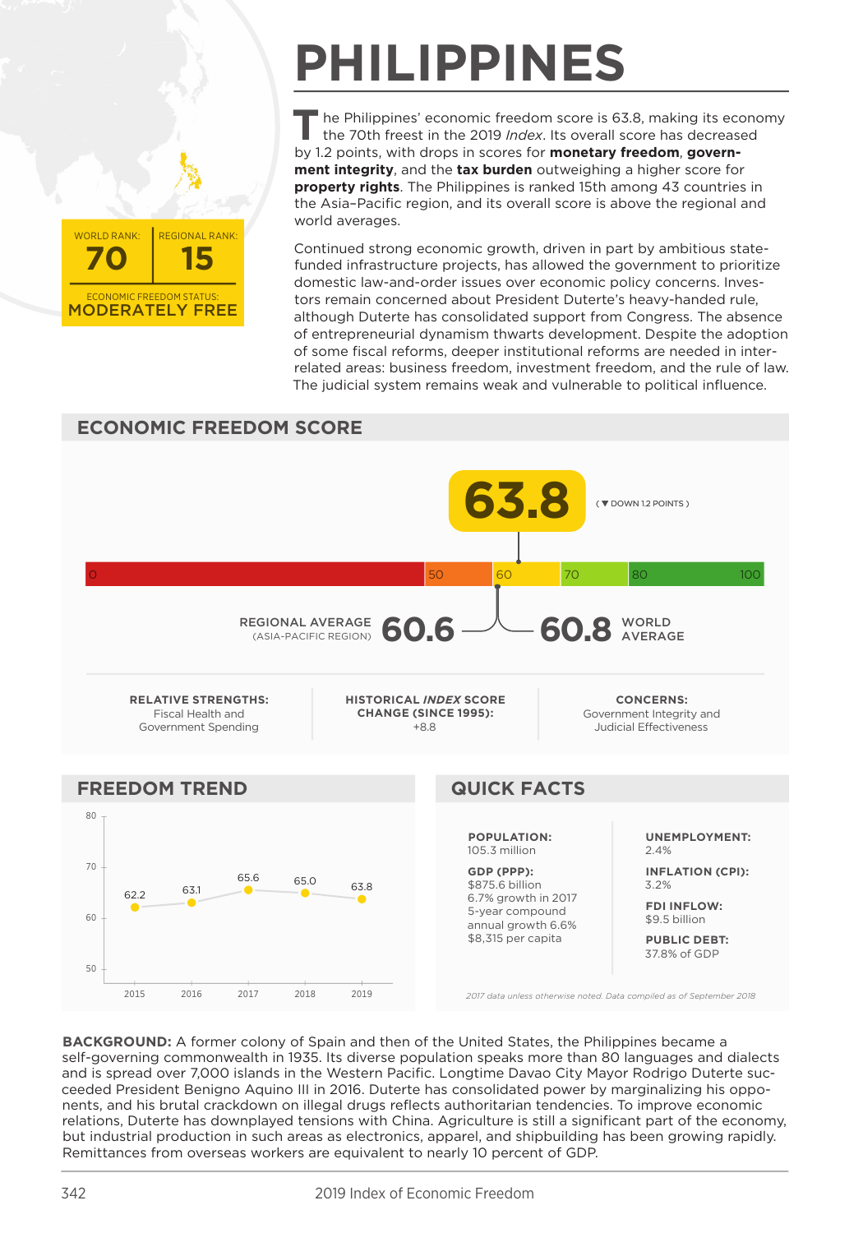

## **PHILIPPINES**

he Philippines' economic freedom score is 63.8, making its economy the 70th freest in the 2019 Index. Its overall score has decreased by 1.2 points, with drops in scores for monetary freedom, government integrity, and the tax burden outweighing a higher score for property rights. The Philippines is ranked 15th among 43 countries in the Asia-Pacific region, and its overall score is above the regional and world averages.

Continued strong economic growth, driven in part by ambitious statefunded infrastructure projects, has allowed the government to prioritize domestic law-and-order issues over economic policy concerns. Investors remain concerned about President Duterte's heavy-handed rule, although Duterte has consolidated support from Congress. The absence of entrepreneurial dynamism thwarts development. Despite the adoption of some fiscal reforms, deeper institutional reforms are needed in interrelated areas: business freedom, investment freedom, and the rule of law. The judicial system remains weak and vulnerable to political influence.



BACKGROUND: A former colony of Spain and then of the United States, the Philippines became a self-governing commonwealth in 1935. Its diverse population speaks more than 80 languages and dialects and is spread over 7,000 islands in the Western Pacific. Longtime Davao City Mayor Rodrigo Duterte succeeded President Benigno Aguino III in 2016. Duterte has consolidated power by marginalizing his opponents, and his brutal crackdown on illegal drugs reflects authoritarian tendencies. To improve economic relations, Duterte has downplayed tensions with China. Agriculture is still a significant part of the economy, but industrial production in such areas as electronics, apparel, and shipbuilding has been growing rapidly. Remittances from overseas workers are equivalent to nearly 10 percent of GDP.